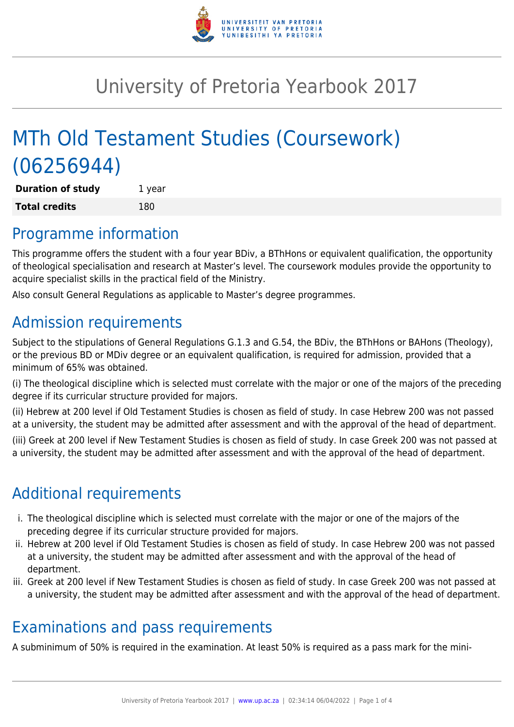

# University of Pretoria Yearbook 2017

# MTh Old Testament Studies (Coursework) (06256944)

**Duration of study** 1 year **Total credits** 180

## Programme information

This programme offers the student with a four year BDiv, a BThHons or equivalent qualification, the opportunity of theological specialisation and research at Master's level. The coursework modules provide the opportunity to acquire specialist skills in the practical field of the Ministry.

Also consult General Regulations as applicable to Master's degree programmes.

# Admission requirements

Subject to the stipulations of General Regulations G.1.3 and G.54, the BDiv, the BThHons or BAHons (Theology), or the previous BD or MDiv degree or an equivalent qualification, is required for admission, provided that a minimum of 65% was obtained.

(i) The theological discipline which is selected must correlate with the major or one of the majors of the preceding degree if its curricular structure provided for majors.

(ii) Hebrew at 200 level if Old Testament Studies is chosen as field of study. In case Hebrew 200 was not passed at a university, the student may be admitted after assessment and with the approval of the head of department.

(iii) Greek at 200 level if New Testament Studies is chosen as field of study. In case Greek 200 was not passed at a university, the student may be admitted after assessment and with the approval of the head of department.

# Additional requirements

- i. The theological discipline which is selected must correlate with the major or one of the majors of the preceding degree if its curricular structure provided for majors.
- ii. Hebrew at 200 level if Old Testament Studies is chosen as field of study. In case Hebrew 200 was not passed at a university, the student may be admitted after assessment and with the approval of the head of department.
- iii. Greek at 200 level if New Testament Studies is chosen as field of study. In case Greek 200 was not passed at a university, the student may be admitted after assessment and with the approval of the head of department.

## Examinations and pass requirements

A subminimum of 50% is required in the examination. At least 50% is required as a pass mark for the mini-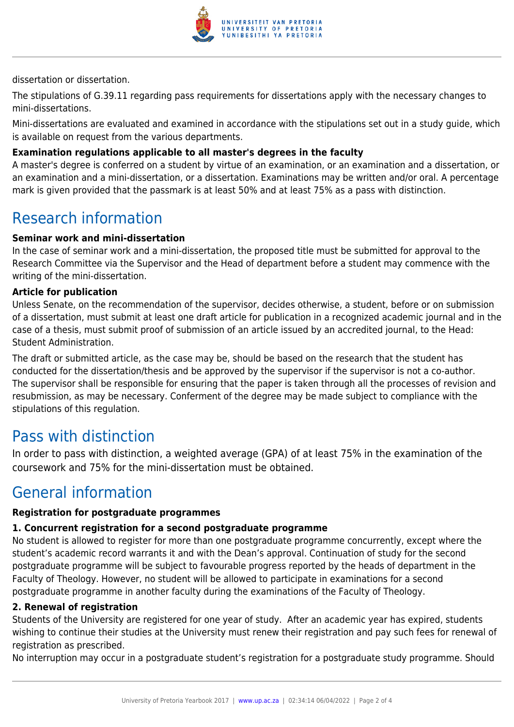

dissertation or dissertation.

The stipulations of G.39.11 regarding pass requirements for dissertations apply with the necessary changes to mini-dissertations.

Mini-dissertations are evaluated and examined in accordance with the stipulations set out in a study guide, which is available on request from the various departments.

### **Examination regulations applicable to all master's degrees in the faculty**

A master's degree is conferred on a student by virtue of an examination, or an examination and a dissertation, or an examination and a mini-dissertation, or a dissertation. Examinations may be written and/or oral. A percentage mark is given provided that the passmark is at least 50% and at least 75% as a pass with distinction.

### Research information

### **Seminar work and mini-dissertation**

In the case of seminar work and a mini-dissertation, the proposed title must be submitted for approval to the Research Committee via the Supervisor and the Head of department before a student may commence with the writing of the mini-dissertation.

#### **Article for publication**

Unless Senate, on the recommendation of the supervisor, decides otherwise, a student, before or on submission of a dissertation, must submit at least one draft article for publication in a recognized academic journal and in the case of a thesis, must submit proof of submission of an article issued by an accredited journal, to the Head: Student Administration.

The draft or submitted article, as the case may be, should be based on the research that the student has conducted for the dissertation/thesis and be approved by the supervisor if the supervisor is not a co-author. The supervisor shall be responsible for ensuring that the paper is taken through all the processes of revision and resubmission, as may be necessary. Conferment of the degree may be made subject to compliance with the stipulations of this regulation.

### Pass with distinction

In order to pass with distinction, a weighted average (GPA) of at least 75% in the examination of the coursework and 75% for the mini-dissertation must be obtained.

### General information

#### **Registration for postgraduate programmes**

#### **1. Concurrent registration for a second postgraduate programme**

No student is allowed to register for more than one postgraduate programme concurrently, except where the student's academic record warrants it and with the Dean's approval. Continuation of study for the second postgraduate programme will be subject to favourable progress reported by the heads of department in the Faculty of Theology. However, no student will be allowed to participate in examinations for a second postgraduate programme in another faculty during the examinations of the Faculty of Theology.

#### **2. Renewal of registration**

Students of the University are registered for one year of study. After an academic year has expired, students wishing to continue their studies at the University must renew their registration and pay such fees for renewal of registration as prescribed.

No interruption may occur in a postgraduate student's registration for a postgraduate study programme. Should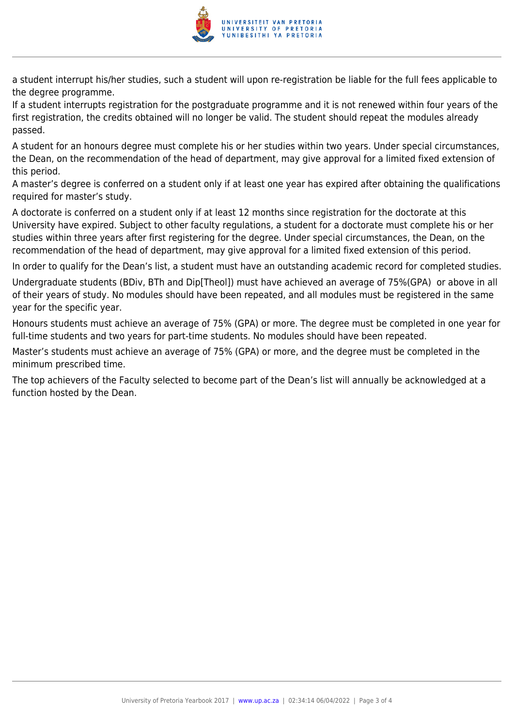

a student interrupt his/her studies, such a student will upon re-registration be liable for the full fees applicable to the degree programme.

If a student interrupts registration for the postgraduate programme and it is not renewed within four years of the first registration, the credits obtained will no longer be valid. The student should repeat the modules already passed.

A student for an honours degree must complete his or her studies within two years. Under special circumstances, the Dean, on the recommendation of the head of department, may give approval for a limited fixed extension of this period.

A master's degree is conferred on a student only if at least one year has expired after obtaining the qualifications required for master's study.

A doctorate is conferred on a student only if at least 12 months since registration for the doctorate at this University have expired. Subject to other faculty regulations, a student for a doctorate must complete his or her studies within three years after first registering for the degree. Under special circumstances, the Dean, on the recommendation of the head of department, may give approval for a limited fixed extension of this period.

In order to qualify for the Dean's list, a student must have an outstanding academic record for completed studies.

Undergraduate students (BDiv, BTh and Dip[Theol]) must have achieved an average of 75%(GPA) or above in all of their years of study. No modules should have been repeated, and all modules must be registered in the same year for the specific year.

Honours students must achieve an average of 75% (GPA) or more. The degree must be completed in one year for full-time students and two years for part-time students. No modules should have been repeated.

Master's students must achieve an average of 75% (GPA) or more, and the degree must be completed in the minimum prescribed time.

The top achievers of the Faculty selected to become part of the Dean's list will annually be acknowledged at a function hosted by the Dean.